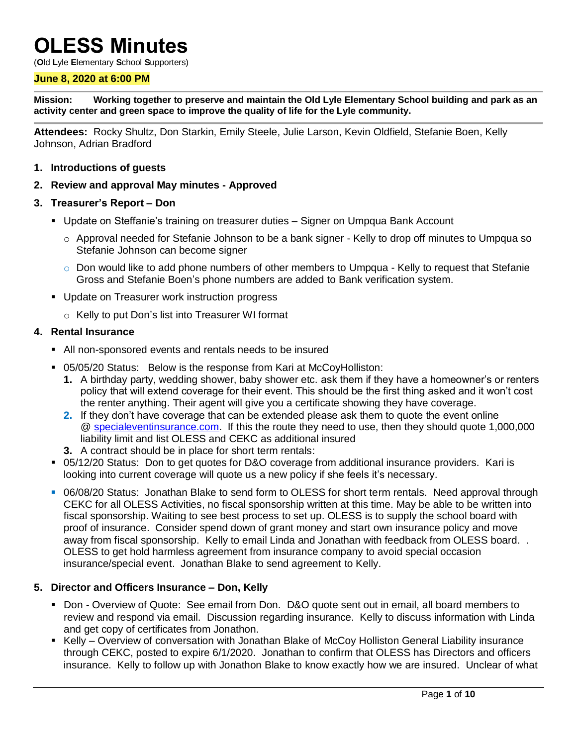# **OLESS Minutes**

(**O**ld **L**yle **E**lementary **S**chool **S**upporters)

#### **June 8, 2020 at 6:00 PM**

**Mission: Working together to preserve and maintain the Old Lyle Elementary School building and park as an activity center and green space to improve the quality of life for the Lyle community.**

**Attendees:** Rocky Shultz, Don Starkin, Emily Steele, Julie Larson, Kevin Oldfield, Stefanie Boen, Kelly Johnson, Adrian Bradford

- **1. Introductions of guests**
- **2. Review and approval May minutes - Approved**
- **3. Treasurer's Report – Don**
	- Update on Steffanie's training on treasurer duties Signer on Umpqua Bank Account
		- $\circ$  Approval needed for Stefanie Johnson to be a bank signer Kelly to drop off minutes to Umpqua so Stefanie Johnson can become signer
		- $\circ$  Don would like to add phone numbers of other members to Umpqua Kelly to request that Stefanie Gross and Stefanie Boen's phone numbers are added to Bank verification system.
	- **Update on Treasurer work instruction progress** 
		- o Kelly to put Don's list into Treasurer WI format

#### **4. Rental Insurance**

- All non-sponsored events and rentals needs to be insured
- 05/05/20 Status: Below is the response from Kari at McCoyHolliston:
	- **1.** A birthday party, wedding shower, baby shower etc. ask them if they have a homeowner's or renters policy that will extend coverage for their event. This should be the first thing asked and it won't cost the renter anything. Their agent will give you a certificate showing they have coverage.
	- **2.** If they don't have coverage that can be extended please ask them to quote the event online @ [specialeventinsurance.com.](http://specialeventinsurance.com/) If this the route they need to use, then they should quote 1,000,000 liability limit and list OLESS and CEKC as additional insured
	- **3.** A contract should be in place for short term rentals:
- 05/12/20 Status: Don to get quotes for D&O coverage from additional insurance providers. Kari is looking into current coverage will quote us a new policy if she feels it's necessary.
- 06/08/20 Status: Jonathan Blake to send form to OLESS for short term rentals. Need approval through CEKC for all OLESS Activities, no fiscal sponsorship written at this time. May be able to be written into fiscal sponsorship. Waiting to see best process to set up. OLESS is to supply the school board with proof of insurance. Consider spend down of grant money and start own insurance policy and move away from fiscal sponsorship. Kelly to email Linda and Jonathan with feedback from OLESS board. . OLESS to get hold harmless agreement from insurance company to avoid special occasion insurance/special event. Jonathan Blake to send agreement to Kelly.

#### **5. Director and Officers Insurance – Don, Kelly**

- Don Overview of Quote: See email from Don. D&O quote sent out in email, all board members to review and respond via email. Discussion regarding insurance. Kelly to discuss information with Linda and get copy of certificates from Jonathon.
- Kelly Overview of conversation with Jonathan Blake of McCoy Holliston General Liability insurance through CEKC, posted to expire 6/1/2020. Jonathan to confirm that OLESS has Directors and officers insurance. Kelly to follow up with Jonathon Blake to know exactly how we are insured. Unclear of what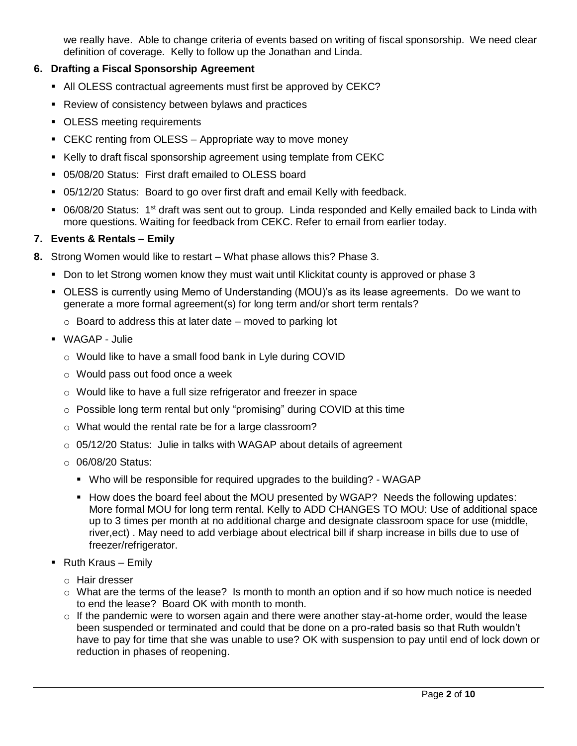we really have. Able to change criteria of events based on writing of fiscal sponsorship. We need clear definition of coverage. Kelly to follow up the Jonathan and Linda.

## **6. Drafting a Fiscal Sponsorship Agreement**

- All OLESS contractual agreements must first be approved by CEKC?
- **Review of consistency between bylaws and practices**
- **DLESS** meeting requirements
- **EXAC renting from OLESS Appropriate way to move money**
- Kelly to draft fiscal sponsorship agreement using template from CEKC
- 05/08/20 Status: First draft emailed to OLESS board
- 05/12/20 Status: Board to go over first draft and email Kelly with feedback.
- 06/08/20 Status: 1<sup>st</sup> draft was sent out to group. Linda responded and Kelly emailed back to Linda with more questions. Waiting for feedback from CEKC. Refer to email from earlier today.

## **7. Events & Rentals – Emily**

- **8.** Strong Women would like to restart What phase allows this? Phase 3.
	- Don to let Strong women know they must wait until Klickitat county is approved or phase 3
	- OLESS is currently using Memo of Understanding (MOU)'s as its lease agreements. Do we want to generate a more formal agreement(s) for long term and/or short term rentals?
		- $\circ$  Board to address this at later date moved to parking lot
	- WAGAP Julie
		- o Would like to have a small food bank in Lyle during COVID
		- o Would pass out food once a week
		- o Would like to have a full size refrigerator and freezer in space
		- o Possible long term rental but only "promising" during COVID at this time
		- o What would the rental rate be for a large classroom?
		- o 05/12/20 Status: Julie in talks with WAGAP about details of agreement
		- o 06/08/20 Status:
			- Who will be responsible for required upgrades to the building? WAGAP
			- How does the board feel about the MOU presented by WGAP? Needs the following updates: More formal MOU for long term rental. Kelly to ADD CHANGES TO MOU: Use of additional space up to 3 times per month at no additional charge and designate classroom space for use (middle, river,ect) . May need to add verbiage about electrical bill if sharp increase in bills due to use of freezer/refrigerator.
	- $\blacksquare$  Ruth Kraus Emily
		- o Hair dresser
		- $\circ$  What are the terms of the lease? Is month to month an option and if so how much notice is needed to end the lease? Board OK with month to month.
		- $\circ$  If the pandemic were to worsen again and there were another stay-at-home order, would the lease been suspended or terminated and could that be done on a pro-rated basis so that Ruth wouldn't have to pay for time that she was unable to use? OK with suspension to pay until end of lock down or reduction in phases of reopening.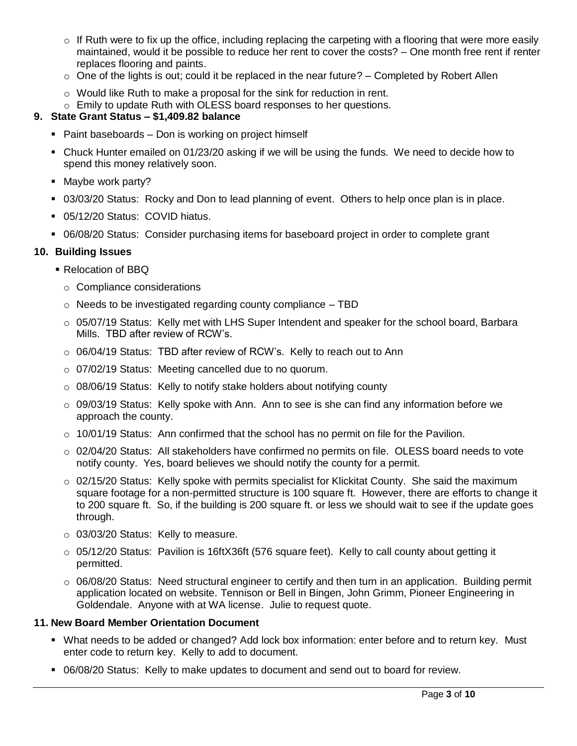- $\circ$  If Ruth were to fix up the office, including replacing the carpeting with a flooring that were more easily maintained, would it be possible to reduce her rent to cover the costs? – One month free rent if renter replaces flooring and paints.
- $\circ$  One of the lights is out; could it be replaced in the near future? Completed by Robert Allen
- o Would like Ruth to make a proposal for the sink for reduction in rent.
- o Emily to update Ruth with OLESS board responses to her questions.

# **9. State Grant Status – \$1,409.82 balance**

- Paint baseboards Don is working on project himself
- Chuck Hunter emailed on 01/23/20 asking if we will be using the funds. We need to decide how to spend this money relatively soon.
- Maybe work party?
- 03/03/20 Status: Rocky and Don to lead planning of event. Others to help once plan is in place.
- 05/12/20 Status: COVID hiatus.
- 06/08/20 Status: Consider purchasing items for baseboard project in order to complete grant

## **10. Building Issues**

- **Relocation of BBQ** 
	- o Compliance considerations
	- $\circ$  Needs to be investigated regarding county compliance  $-$  TBD
	- o 05/07/19 Status: Kelly met with LHS Super Intendent and speaker for the school board, Barbara Mills. TBD after review of RCW's.
	- o 06/04/19 Status: TBD after review of RCW's. Kelly to reach out to Ann
	- o 07/02/19 Status: Meeting cancelled due to no quorum.
	- $\circ$  08/06/19 Status: Kelly to notify stake holders about notifying county
	- o 09/03/19 Status: Kelly spoke with Ann. Ann to see is she can find any information before we approach the county.
	- $\circ$  10/01/19 Status: Ann confirmed that the school has no permit on file for the Pavilion.
	- $\circ$  02/04/20 Status: All stakeholders have confirmed no permits on file. OLESS board needs to vote notify county. Yes, board believes we should notify the county for a permit.
	- $\circ$  02/15/20 Status: Kelly spoke with permits specialist for Klickitat County. She said the maximum square footage for a non-permitted structure is 100 square ft. However, there are efforts to change it to 200 square ft. So, if the building is 200 square ft. or less we should wait to see if the update goes through.
	- o 03/03/20 Status: Kelly to measure.
	- $\circ$  05/12/20 Status: Pavilion is 16ftX36ft (576 square feet). Kelly to call county about getting it permitted.
	- $\circ$  06/08/20 Status: Need structural engineer to certify and then turn in an application. Building permit application located on website. Tennison or Bell in Bingen, John Grimm, Pioneer Engineering in Goldendale. Anyone with at WA license. Julie to request quote.

## **11. New Board Member Orientation Document**

- What needs to be added or changed? Add lock box information: enter before and to return key. Must enter code to return key. Kelly to add to document.
- 06/08/20 Status: Kelly to make updates to document and send out to board for review.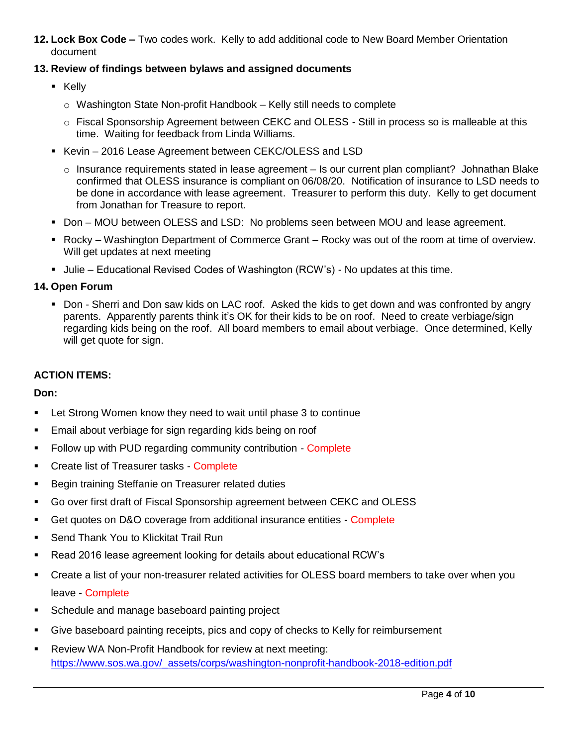**12. Lock Box Code –** Two codes work. Kelly to add additional code to New Board Member Orientation document

## **13. Review of findings between bylaws and assigned documents**

- **E** Kelly
	- o Washington State Non-profit Handbook Kelly still needs to complete
	- o Fiscal Sponsorship Agreement between CEKC and OLESS Still in process so is malleable at this time. Waiting for feedback from Linda Williams.
- Kevin 2016 Lease Agreement between CEKC/OLESS and LSD
	- $\circ$  Insurance requirements stated in lease agreement Is our current plan compliant? Johnathan Blake confirmed that OLESS insurance is compliant on 06/08/20. Notification of insurance to LSD needs to be done in accordance with lease agreement. Treasurer to perform this duty. Kelly to get document from Jonathan for Treasure to report.
- **Don MOU between OLESS and LSD: No problems seen between MOU and lease agreement.**
- Rocky Washington Department of Commerce Grant Rocky was out of the room at time of overview. Will get updates at next meeting
- **Julie Educational Revised Codes of Washington (RCW's) No updates at this time.**

## **14. Open Forum**

 Don - Sherri and Don saw kids on LAC roof. Asked the kids to get down and was confronted by angry parents. Apparently parents think it's OK for their kids to be on roof. Need to create verbiage/sign regarding kids being on the roof. All board members to email about verbiage. Once determined, Kelly will get quote for sign.

## **ACTION ITEMS:**

#### **Don:**

- Let Strong Women know they need to wait until phase 3 to continue
- **Email about verbiage for sign regarding kids being on roof**
- Follow up with PUD regarding community contribution Complete
- Create list of Treasurer tasks Complete
- **Begin training Steffanie on Treasurer related duties**
- Go over first draft of Fiscal Sponsorship agreement between CEKC and OLESS
- Get quotes on D&O coverage from additional insurance entities Complete
- Send Thank You to Klickitat Trail Run
- Read 2016 lease agreement looking for details about educational RCW's
- Create a list of your non-treasurer related activities for OLESS board members to take over when you leave - Complete
- **Schedule and manage baseboard painting project**
- Give baseboard painting receipts, pics and copy of checks to Kelly for reimbursement
- Review WA Non-Profit Handbook for review at next meeting: [https://www.sos.wa.gov/\\_assets/corps/washington-nonprofit-handbook-2018-edition.pdf](https://www.sos.wa.gov/_assets/corps/washington-nonprofit-handbook-2018-edition.pdf)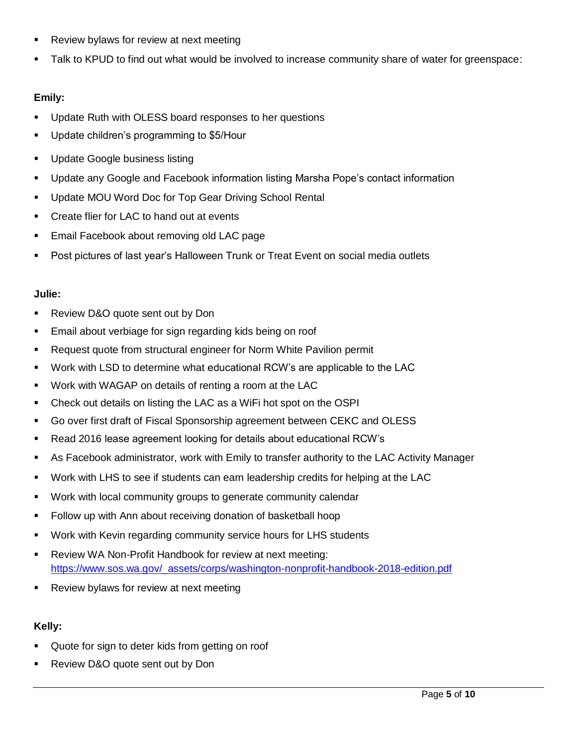- **Review bylaws for review at next meeting**
- Talk to KPUD to find out what would be involved to increase community share of water for greenspace:

## **Emily:**

- Update Ruth with OLESS board responses to her questions
- **Update children's programming to \$5/Hour**
- **Update Google business listing**
- Update any Google and Facebook information listing Marsha Pope's contact information
- **Update MOU Word Doc for Top Gear Driving School Rental**
- **•** Create flier for LAC to hand out at events
- **Email Facebook about removing old LAC page**
- Post pictures of last year's Halloween Trunk or Treat Event on social media outlets

## **Julie:**

- **Review D&O quote sent out by Don**
- **Email about verbiage for sign regarding kids being on roof**
- Request quote from structural engineer for Norm White Pavilion permit
- Work with LSD to determine what educational RCW's are applicable to the LAC
- Work with WAGAP on details of renting a room at the LAC
- Check out details on listing the LAC as a WiFi hot spot on the OSPI
- Go over first draft of Fiscal Sponsorship agreement between CEKC and OLESS
- Read 2016 lease agreement looking for details about educational RCW's
- As Facebook administrator, work with Emily to transfer authority to the LAC Activity Manager
- Work with LHS to see if students can earn leadership credits for helping at the LAC
- Work with local community groups to generate community calendar
- Follow up with Ann about receiving donation of basketball hoop
- Work with Kevin regarding community service hours for LHS students
- Review WA Non-Profit Handbook for review at next meeting: [https://www.sos.wa.gov/\\_assets/corps/washington-nonprofit-handbook-2018-edition.pdf](https://www.sos.wa.gov/_assets/corps/washington-nonprofit-handbook-2018-edition.pdf)
- **Review bylaws for review at next meeting**

## **Kelly:**

- Quote for sign to deter kids from getting on roof
- Review D&O quote sent out by Don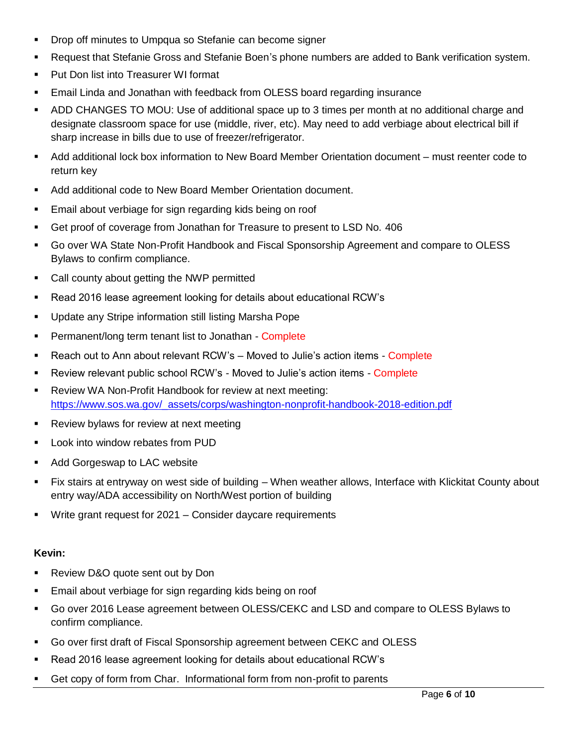- Drop off minutes to Umpqua so Stefanie can become signer
- Request that Stefanie Gross and Stefanie Boen's phone numbers are added to Bank verification system.
- **Put Don list into Treasurer WI format**
- Email Linda and Jonathan with feedback from OLESS board regarding insurance
- ADD CHANGES TO MOU: Use of additional space up to 3 times per month at no additional charge and designate classroom space for use (middle, river, etc). May need to add verbiage about electrical bill if sharp increase in bills due to use of freezer/refrigerator.
- Add additional lock box information to New Board Member Orientation document must reenter code to return key
- Add additional code to New Board Member Orientation document.
- **Email about verbiage for sign regarding kids being on roof**
- Get proof of coverage from Jonathan for Treasure to present to LSD No. 406
- Go over WA State Non-Profit Handbook and Fiscal Sponsorship Agreement and compare to OLESS Bylaws to confirm compliance.
- Call county about getting the NWP permitted
- Read 2016 lease agreement looking for details about educational RCW's
- **Update any Stripe information still listing Marsha Pope**
- **Permanent/long term tenant list to Jonathan Complete**
- Reach out to Ann about relevant RCW's Moved to Julie's action items Complete
- **EXECT** Review relevant public school RCW's Moved to Julie's action items Complete
- Review WA Non-Profit Handbook for review at next meeting: [https://www.sos.wa.gov/\\_assets/corps/washington-nonprofit-handbook-2018-edition.pdf](https://www.sos.wa.gov/_assets/corps/washington-nonprofit-handbook-2018-edition.pdf)
- **Review bylaws for review at next meeting**
- **-** Look into window rebates from PUD
- Add Gorgeswap to LAC website
- Fix stairs at entryway on west side of building When weather allows, Interface with Klickitat County about entry way/ADA accessibility on North/West portion of building
- Write grant request for 2021 Consider daycare requirements

# **Kevin:**

- **Review D&O quote sent out by Don**
- **Email about verbiage for sign regarding kids being on roof**
- Go over 2016 Lease agreement between OLESS/CEKC and LSD and compare to OLESS Bylaws to confirm compliance.
- Go over first draft of Fiscal Sponsorship agreement between CEKC and OLESS
- Read 2016 lease agreement looking for details about educational RCW's
- Get copy of form from Char. Informational form from non-profit to parents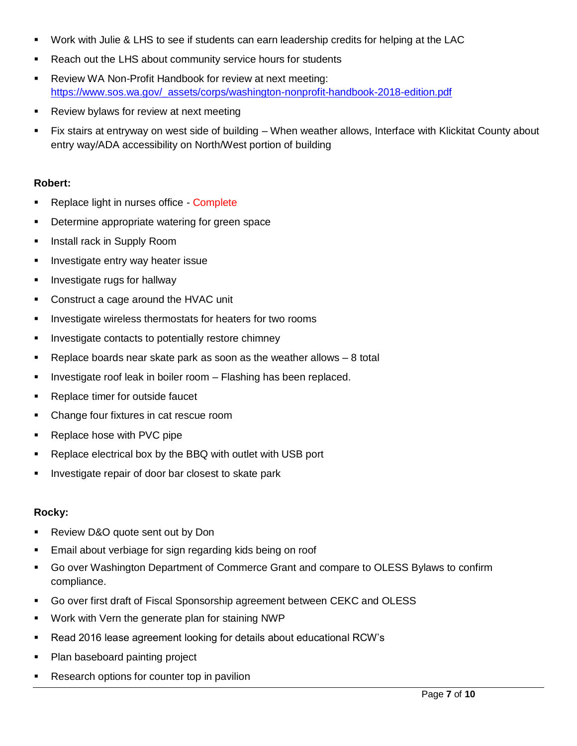- Work with Julie & LHS to see if students can earn leadership credits for helping at the LAC
- **Reach out the LHS about community service hours for students**
- Review WA Non-Profit Handbook for review at next meeting: [https://www.sos.wa.gov/\\_assets/corps/washington-nonprofit-handbook-2018-edition.pdf](https://www.sos.wa.gov/_assets/corps/washington-nonprofit-handbook-2018-edition.pdf)
- **Review bylaws for review at next meeting**
- Fix stairs at entryway on west side of building When weather allows, Interface with Klickitat County about entry way/ADA accessibility on North/West portion of building

#### **Robert:**

- Replace light in nurses office Complete
- Determine appropriate watering for green space
- **Install rack in Supply Room**
- **Investigate entry way heater issue**
- **Investigate rugs for hallway**
- **Construct a cage around the HVAC unit**
- **Investigate wireless thermostats for heaters for two rooms**
- **Investigate contacts to potentially restore chimney**
- Replace boards near skate park as soon as the weather allows 8 total
- $\blacksquare$  Investigate roof leak in boiler room  $-$  Flashing has been replaced.
- **Replace timer for outside faucet**
- Change four fixtures in cat rescue room
- **Replace hose with PVC pipe**
- **-** Replace electrical box by the BBQ with outlet with USB port
- **Investigate repair of door bar closest to skate park**

#### **Rocky:**

- **Review D&O quote sent out by Don**
- Email about verbiage for sign regarding kids being on roof
- Go over Washington Department of Commerce Grant and compare to OLESS Bylaws to confirm compliance.
- Go over first draft of Fiscal Sponsorship agreement between CEKC and OLESS
- Work with Vern the generate plan for staining NWP
- Read 2016 lease agreement looking for details about educational RCW's
- Plan baseboard painting project
- Research options for counter top in pavilion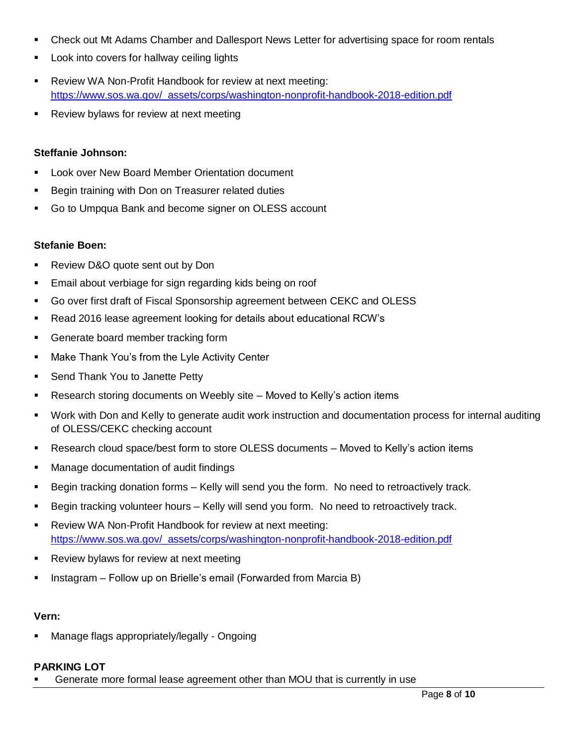- Check out Mt Adams Chamber and Dallesport News Letter for advertising space for room rentals
- Look into covers for hallway ceiling lights
- **-** Review WA Non-Profit Handbook for review at next meeting: [https://www.sos.wa.gov/\\_assets/corps/washington-nonprofit-handbook-2018-edition.pdf](https://www.sos.wa.gov/_assets/corps/washington-nonprofit-handbook-2018-edition.pdf)
- **Review bylaws for review at next meeting**

#### **Steffanie Johnson:**

- Look over New Board Member Orientation document
- **Begin training with Don on Treasurer related duties**
- Go to Umpqua Bank and become signer on OLESS account

#### **Stefanie Boen:**

- **Review D&O quote sent out by Don**
- Email about verbiage for sign regarding kids being on roof
- Go over first draft of Fiscal Sponsorship agreement between CEKC and OLESS
- Read 2016 lease agreement looking for details about educational RCW's
- **Generate board member tracking form**
- **Make Thank You's from the Lyle Activity Center**
- **Send Thank You to Janette Petty**
- Research storing documents on Weebly site Moved to Kelly's action items
- Work with Don and Kelly to generate audit work instruction and documentation process for internal auditing of OLESS/CEKC checking account
- Research cloud space/best form to store OLESS documents Moved to Kelly's action items
- Manage documentation of audit findings
- **Begin tracking donation forms Kelly will send you the form. No need to retroactively track.**
- **Begin tracking volunteer hours Kelly will send you form. No need to retroactively track.**
- Review WA Non-Profit Handbook for review at next meeting: [https://www.sos.wa.gov/\\_assets/corps/washington-nonprofit-handbook-2018-edition.pdf](https://www.sos.wa.gov/_assets/corps/washington-nonprofit-handbook-2018-edition.pdf)
- **Review bylaws for review at next meeting**
- **Instagram Follow up on Brielle's email (Forwarded from Marcia B)**

#### **Vern:**

Manage flags appropriately/legally - Ongoing

#### **PARKING LOT**

Generate more formal lease agreement other than MOU that is currently in use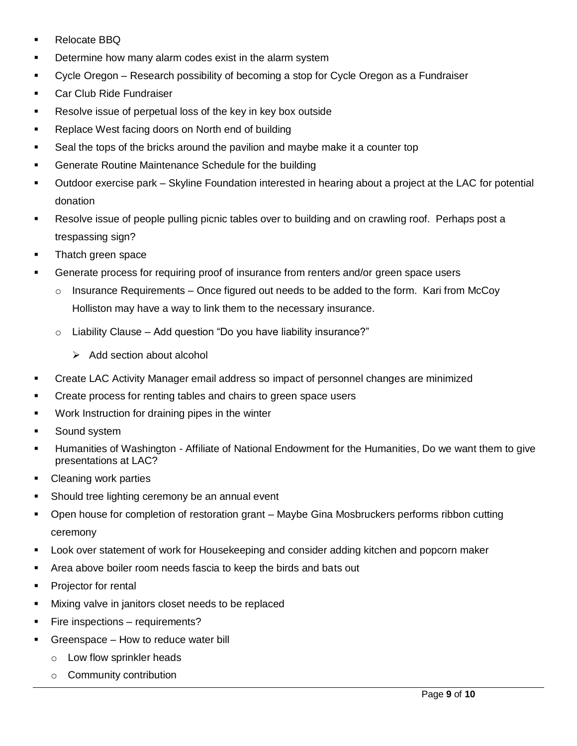- Relocate BBQ
- Determine how many alarm codes exist in the alarm system
- **•** Cycle Oregon Research possibility of becoming a stop for Cycle Oregon as a Fundraiser
- **Car Club Ride Fundraiser**
- **Resolve issue of perpetual loss of the key in key box outside**
- **Replace West facing doors on North end of building**
- Seal the tops of the bricks around the pavilion and maybe make it a counter top
- **Generate Routine Maintenance Schedule for the building**
- Outdoor exercise park Skyline Foundation interested in hearing about a project at the LAC for potential donation
- Resolve issue of people pulling picnic tables over to building and on crawling roof. Perhaps post a trespassing sign?
- **Thatch green space**
- Generate process for requiring proof of insurance from renters and/or green space users
	- $\circ$  Insurance Requirements Once figured out needs to be added to the form. Kari from McCoy Holliston may have a way to link them to the necessary insurance.
	- $\circ$  Liability Clause Add question "Do you have liability insurance?"
		- $\triangleright$  Add section about alcohol
- Create LAC Activity Manager email address so impact of personnel changes are minimized
- Create process for renting tables and chairs to green space users
- **Work Instruction for draining pipes in the winter**
- Sound system
- Humanities of Washington Affiliate of National Endowment for the Humanities, Do we want them to give presentations at LAC?
- Cleaning work parties
- **Should tree lighting ceremony be an annual event**
- Open house for completion of restoration grant Maybe Gina Mosbruckers performs ribbon cutting ceremony
- Look over statement of work for Housekeeping and consider adding kitchen and popcorn maker
- Area above boiler room needs fascia to keep the birds and bats out
- **Projector for rental**
- **Mixing valve in janitors closet needs to be replaced**
- **Fire inspections requirements?**
- Greenspace How to reduce water bill
	- o Low flow sprinkler heads
	- o Community contribution